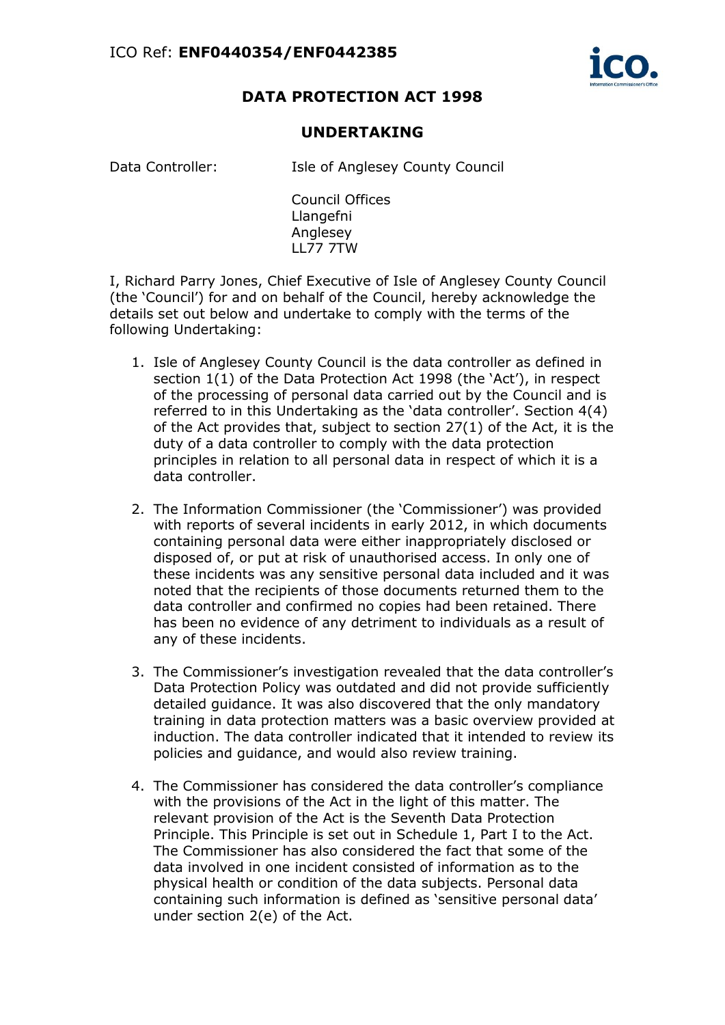

## **DATA PROTECTION ACT 1998**

## **UNDERTAKING**

Data Controller: Isle of Anglesey County Council

Council Offices Llangefni Anglesey LL77 7TW

I, Richard Parry Jones, Chief Executive of Isle of Anglesey County Council (the 'Council') for and on behalf of the Council, hereby acknowledge the details set out below and undertake to comply with the terms of the following Undertaking:

- 1. Isle of Anglesey County Council is the data controller as defined in section 1(1) of the Data Protection Act 1998 (the 'Act'), in respect of the processing of personal data carried out by the Council and is referred to in this Undertaking as the 'data controller'. Section 4(4) of the Act provides that, subject to section 27(1) of the Act, it is the duty of a data controller to comply with the data protection principles in relation to all personal data in respect of which it is a data controller.
- 2. The Information Commissioner (the 'Commissioner') was provided with reports of several incidents in early 2012, in which documents containing personal data were either inappropriately disclosed or disposed of, or put at risk of unauthorised access. In only one of these incidents was any sensitive personal data included and it was noted that the recipients of those documents returned them to the data controller and confirmed no copies had been retained. There has been no evidence of any detriment to individuals as a result of any of these incidents.
- 3. The Commissioner's investigation revealed that the data controller's Data Protection Policy was outdated and did not provide sufficiently detailed guidance. It was also discovered that the only mandatory training in data protection matters was a basic overview provided at induction. The data controller indicated that it intended to review its policies and guidance, and would also review training.
- 4. The Commissioner has considered the data controller's compliance with the provisions of the Act in the light of this matter. The relevant provision of the Act is the Seventh Data Protection Principle. This Principle is set out in Schedule 1, Part I to the Act. The Commissioner has also considered the fact that some of the data involved in one incident consisted of information as to the physical health or condition of the data subjects. Personal data containing such information is defined as 'sensitive personal data' under section 2(e) of the Act.